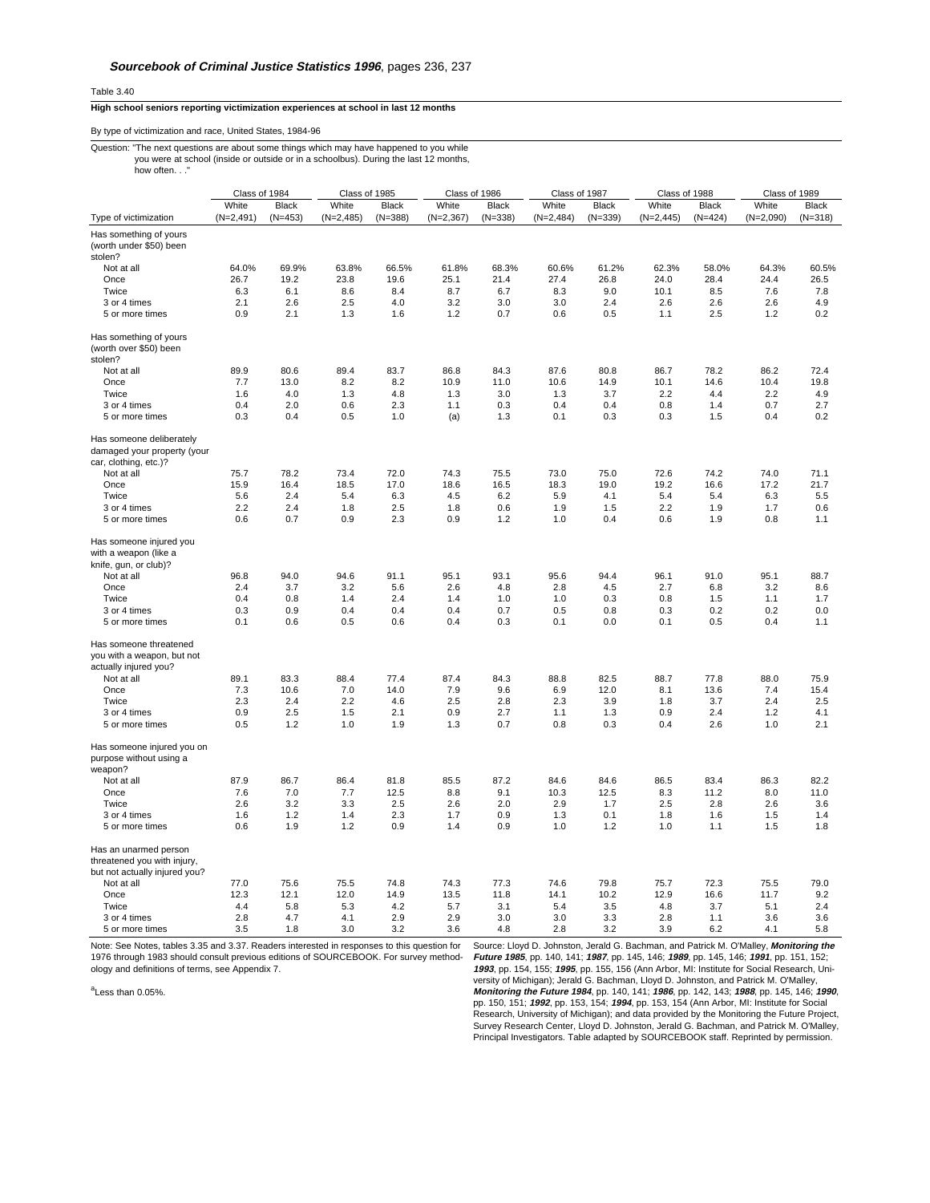Table 3.40

## **High school seniors reporting victimization experiences at school in last 12 months**

## By type of victimization and race, United States, 1984-96

## Question: "The next questions are about some things which may have happened to you while you were at school (inside or outside or in a schoolbus). During the last 12 months, how often..."

|                                                                                                 | Class of 1984 |              | Class of 1985 |              | Class of 1986 |              | Class of 1987 |              | Class of 1988 |              | Class of 1989 |              |
|-------------------------------------------------------------------------------------------------|---------------|--------------|---------------|--------------|---------------|--------------|---------------|--------------|---------------|--------------|---------------|--------------|
|                                                                                                 | White         | <b>Black</b> | White         | <b>Black</b> | White         | <b>Black</b> | White         | <b>Black</b> | White         | <b>Black</b> | White         | <b>Black</b> |
| Type of victimization                                                                           | $(N=2,491)$   | $(N=453)$    | $(N=2,485)$   | $(N=388)$    | $(N=2,367)$   | $(N=338)$    | $(N=2,484)$   | $(N=339)$    | $(N=2, 445)$  | $(N=424)$    | $(N=2,090)$   | $(N=318)$    |
| Has something of yours                                                                          |               |              |               |              |               |              |               |              |               |              |               |              |
| (worth under \$50) been                                                                         |               |              |               |              |               |              |               |              |               |              |               |              |
| stolen?                                                                                         |               |              |               |              |               |              |               |              |               |              |               |              |
| Not at all                                                                                      | 64.0%         | 69.9%        | 63.8%         | 66.5%        | 61.8%         | 68.3%        | 60.6%         | 61.2%        | 62.3%         | 58.0%        | 64.3%         | 60.5%        |
| Once                                                                                            | 26.7          | 19.2         | 23.8          | 19.6         | 25.1          | 21.4         | 27.4          | 26.8         | 24.0          | 28.4         | 24.4          | 26.5         |
| Twice                                                                                           | 6.3           | 6.1          | 8.6           | 8.4          | 8.7           | 6.7          | 8.3           | 9.0          | 10.1          | 8.5          | 7.6           | 7.8          |
| 3 or 4 times                                                                                    | 2.1           | 2.6          | 2.5           | 4.0          | 3.2           | 3.0          | 3.0           | 2.4          | 2.6           | 2.6          | 2.6           | 4.9          |
| 5 or more times                                                                                 | 0.9           | 2.1          | 1.3           | 1.6          | 1.2           | 0.7          | 0.6           | 0.5          | 1.1           | 2.5          | 1.2           | 0.2          |
| Has something of yours<br>(worth over \$50) been<br>stolen?                                     |               |              |               |              |               |              |               |              |               |              |               |              |
| Not at all                                                                                      | 89.9          | 80.6         | 89.4          | 83.7         | 86.8          | 84.3         | 87.6          | 80.8         | 86.7          | 78.2         | 86.2          | 72.4         |
| Once                                                                                            | 7.7           | 13.0         | 8.2           | 8.2          | 10.9          | 11.0         | 10.6          | 14.9         | 10.1          | 14.6         | 10.4          | 19.8         |
| Twice                                                                                           | 1.6           | 4.0          | 1.3           | 4.8          | 1.3           | 3.0          | 1.3           | 3.7          | 2.2           | 4.4          | 2.2           | 4.9          |
| 3 or 4 times                                                                                    | 0.4           | 2.0          | 0.6           | 2.3          | 1.1           | 0.3          | 0.4           | 0.4          | 0.8           | 1.4          | 0.7           | 2.7          |
| 5 or more times                                                                                 | 0.3           | 0.4          | 0.5           | 1.0          | (a)           | 1.3          | 0.1           | 0.3          | 0.3           | 1.5          | 0.4           | 0.2          |
|                                                                                                 |               |              |               |              |               |              |               |              |               |              |               |              |
| Has someone deliberately<br>damaged your property (your<br>car, clothing, etc.)?                |               |              |               |              |               |              |               |              |               |              |               |              |
| Not at all                                                                                      | 75.7          | 78.2         | 73.4          | 72.0         | 74.3          | 75.5         | 73.0          | 75.0         | 72.6          | 74.2         | 74.0          | 71.1         |
| Once                                                                                            | 15.9          | 16.4         | 18.5          | 17.0         | 18.6          | 16.5         | 18.3          | 19.0         | 19.2          | 16.6         | 17.2          | 21.7         |
| Twice                                                                                           | 5.6           | 2.4          | 5.4           | 6.3          | 4.5           | 6.2          | 5.9           | 4.1          | 5.4           | 5.4          | 6.3           | 5.5          |
| 3 or 4 times                                                                                    | 2.2           | 2.4          | 1.8           | 2.5          | 1.8           | 0.6          | 1.9           | 1.5          | 2.2           | 1.9          | 1.7           | 0.6          |
| 5 or more times                                                                                 | 0.6           | 0.7          | 0.9           | 2.3          | 0.9           | 1.2          | 1.0           | 0.4          | 0.6           | 1.9          | 0.8           | 1.1          |
| Has someone injured you<br>with a weapon (like a<br>knife, gun, or club)?<br>Not at all<br>Once | 96.8<br>2.4   | 94.0<br>3.7  | 94.6<br>3.2   | 91.1<br>5.6  | 95.1<br>2.6   | 93.1<br>4.8  | 95.6<br>2.8   | 94.4<br>4.5  | 96.1<br>2.7   | 91.0<br>6.8  | 95.1<br>3.2   | 88.7<br>8.6  |
| Twice                                                                                           | 0.4           | 0.8          | 1.4           | 2.4          | 1.4           | 1.0          | 1.0           | 0.3          | 0.8           | 1.5          | 1.1           | 1.7          |
| 3 or 4 times                                                                                    | 0.3           | 0.9          | 0.4           | 0.4          | 0.4           | 0.7          | 0.5           | 0.8          | 0.3           | 0.2          | 0.2           | 0.0          |
| 5 or more times                                                                                 | 0.1           | 0.6          | 0.5           | 0.6          | 0.4           | 0.3          | 0.1           | 0.0          | 0.1           | 0.5          | 0.4           | 1.1          |
| Has someone threatened<br>you with a weapon, but not<br>actually injured you?                   |               |              |               |              |               |              |               |              |               |              |               |              |
| Not at all                                                                                      | 89.1          | 83.3         | 88.4          | 77.4         | 87.4          | 84.3         | 88.8          | 82.5         | 88.7          | 77.8         | 88.0          | 75.9         |
| Once                                                                                            | 7.3           | 10.6         | 7.0           | 14.0         | 7.9           | 9.6          | 6.9           | 12.0         | 8.1           | 13.6         | 7.4           | 15.4         |
| Twice                                                                                           | 2.3           | 2.4          | 2.2           | 4.6          | 2.5           | 2.8          | 2.3           | 3.9          | 1.8           | 3.7          | 2.4           | 2.5          |
| 3 or 4 times                                                                                    | 0.9           | 2.5          | 1.5           | 2.1          | 0.9           | 2.7          | 1.1           | 1.3          | 0.9           | 2.4          | 1.2           | 4.1          |
| 5 or more times                                                                                 | 0.5           | 1.2          | 1.0           | 1.9          | 1.3           | 0.7          | 0.8           | 0.3          | 0.4           | 2.6          | 1.0           | 2.1          |
| Has someone injured you on<br>purpose without using a<br>weapon?                                |               |              |               |              |               |              |               |              |               |              |               |              |
| Not at all                                                                                      | 87.9          | 86.7         | 86.4          | 81.8         | 85.5          | 87.2         | 84.6          | 84.6         | 86.5          | 83.4         | 86.3          | 82.2         |
| Once                                                                                            | 7.6           | 7.0          | 7.7           | 12.5         | 8.8           | 9.1          | 10.3          | 12.5         | 8.3           | 11.2         | 8.0           | 11.0         |
| Twice                                                                                           | 2.6           | 3.2          | 3.3           | 2.5          | 2.6           | 2.0          | 2.9           | 1.7          | 2.5           | 2.8          | 2.6           | 3.6          |
| 3 or 4 times                                                                                    | 1.6           | 1.2          | 1.4           | 2.3          | 1.7           | 0.9          | 1.3           | 0.1          | 1.8           | 1.6          | 1.5           | 1.4          |
| 5 or more times                                                                                 | 0.6           | 1.9          | 1.2           | 0.9          | 1.4           | 0.9          | 1.0           | 1.2          | 1.0           | 1.1          | 1.5           | 1.8          |
| Has an unarmed person<br>threatened you with injury,<br>but not actually injured you?           |               |              |               |              |               |              |               |              |               |              |               |              |
| Not at all                                                                                      | 77.0          | 75.6         | 75.5          | 74.8         | 74.3          | 77.3         | 74.6          | 79.8         | 75.7          | 72.3         | 75.5          | 79.0         |
| Once                                                                                            | 12.3          | 12.1         | 12.0          | 14.9         | 13.5          | 11.8         | 14.1          | 10.2         | 12.9          | 16.6         | 11.7          | 9.2          |
| Twice                                                                                           | 4.4           | 5.8          | 5.3           | 4.2          | 5.7           | 3.1          | 5.4           | 3.5          | 4.8           | 3.7          | 5.1           | 2.4          |
| 3 or 4 times                                                                                    | 2.8           | 4.7          | 4.1           | 2.9          | 2.9           | 3.0          | 3.0           | 3.3          | 2.8           | 1.1          | 3.6           | 3.6          |
| 5 or more times                                                                                 | 3.5           | 1.8          | 3.0           | 3.2          | 3.6           | 4.8          | 2.8           | 3.2          | 3.9           | 6.2          | 4.1           | 5.8          |

Note: See Notes, tables 3.35 and 3.37. Readers interested in responses to this question for 1976 through 1983 should consult previous editions of SOURCEBOOK. For survey method-ology and definitions of terms, see Appendix 7.

<sup>a</sup>Less than 0.05%.

Source: Lloyd D. Johnston, Jerald G. Bachman, and Patrick M. O'Malley, **Monitoring the** *Future 1985*, pp. 140, 141; *1987*, pp. 145, 146; *1989*, pp. 145, 146; *1991*, pp. 151, 152;<br>*1993*, pp. 154, 155; *1995*, pp. 155, 156 (Ann Arbor, MI: Institute for Social Research, Uni-<br>versity of Michigan); Jerald G. pp. 150, 151; **1992**, pp. 153, 154; **1994**, pp. 153, 154 (Ann Arbor, MI: Institute for Social Research, University of Michigan); and data provided by the Monitoring the Future Project, Survey Research Center, Lloyd D. Johnston, Jerald G. Bachman, and Patrick M. O'Malley, Principal Investigators. Table adapted by SOURCEBOOK staff. Reprinted by permission.